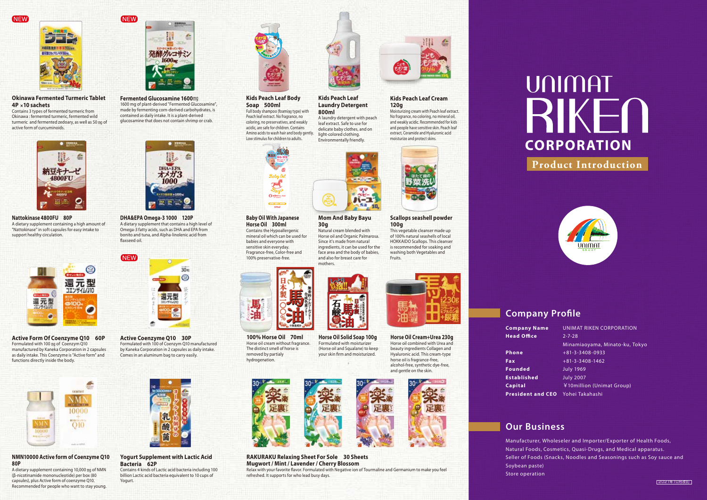**NEW** 



**Okinawa Fermented Turmeric Tablet 4P** ×**10 sachets**

Contains 3 types of fermented turmeric from Okinawa : fermented turmeric, fermented wild turmeric and fermented zedoary, as well as 50 ㎎ of active form of curcuminoids.



**Nattokinase 4800FU 80P** A dietary supplement containing a high amount of "Nattokinase" in soft capsules for easy intake to support healthy circulation.



**Active Form Of Coenzyme Q10 60P** Formulated with 100 mg of Coenzym Q10 manufactured by Kaneka Corporation in 2 capsules as daily intake. This Coenzyme is "Active form" and functions directly inside the body.



## **NMN10000 Active form of Coenzyme Q10 80P**

A dietary supplement containing 10,000 ㎎ of NMN (β-nicotinamide mononucleotide) per box (80 capsules), plus Active form of coenzyme Q10. Recommended for people who want to stay young.



**NEW** 

**Fermented Glucosamine 1600**㎎ 1600 mg of plant-derived "Fermented Glucosamine", made by fermenting corn-derived carbohydrates, is contained as daily intake. It is a plant-derived glucosamine that does not contain shrimp or crab.



**DHA&EPA Omega-3 1000 120P** A dietary supplement that contains a high level of Omega-3 fatty acids, such as DHA and EPA from bonito and tuna, and Alpha-linolenic acid from axseed oil.



**Active Coenzyme Q10 30P** Formulated with 100 of Coenzym Q10 manufactured by Kaneka Corporation in 2 capsules as daily intake. Comes in an aluminum bag to carry easily.



**Yogurt Supplement with Lactic Acid Bacteria 62P** Contains 4 kinds of Lactic acid bacteria including 100 billion Lactic acid bacteria equivalent to 10 cups of

Yogurt.



## **Kids Peach Leaf Body Soap 500ml**

Full body shampoo (foaming type) with Peach leaf extract. No fragrance, no coloring, no preservatives, and weakly acidic, are safe for children. Contains Amino acids to wash hair and body gently. Low stimulus for children to adults.



#### **Baby Oil With Japanese Horse Oil 300ml** Contains the Hypoallergenic mineral oil which can be used for

babies and everyone with sensitive skin everyday. Fragrance-free, Color-free and 100% preservative-free.



**100% Horse Oil 70ml** Horse oil cream without fragrance. The distinct smell of horse is removed by partialy hydrogenation.



**Mom And Baby Bayu**

л-т -30

**Kids Peach Leaf Laundry Detergent** 

A laundry detergent with peach leaf extract. Safe to use for delicate baby clothes, and on light-colored clothing. Environmentally friendly.

**800ml**

Natural cream blended with Horse oil and Organic Palmarosa. Since it's made from natural ingredients, it can be used for the face area and the body of babies, and also for breast care for

**30g**

mothers.

Formulated with moisturizer (Horse oil and Squalane) to keep your skin firm and moisturized.



#### **RAKURAKU Relaxing Sheet For Sole 30 Sheets Mugwort / Mint / Lavender / Cherry Blossom** Relax with your favorite flavor. Formulated with Negative ion of Tourmaline and Germanium to make you feel refreshed. It supports for who lead busy days.



## **Kids Peach Leaf Cream 120g**

Moisturizing cream with Peach leaf extract. No fragrance, no coloring, no mineral oil, and weakly acidic. Recommended for kids and people have sensitive skin. Peach leaf extract, Ceramide and Hyaluronic acid moisturize and protect skins.



#### **Scallops seashell powder 100g**

This vegetable cleanser made up of 100% natural seashells of local HOKKAIDO Scallops. This cleanser is recommended for soaking and washing both Vegetables and Fruits.



**Horse Oil Cream+Urea 230g** Horse oil combined with Urea and beauty ingredients Collagen and Hyaluronic acid. This cream-type horse oil is fragrance-free, alcohol-free, synthetic dye-free, and gentle on the skin.



# UNIMAT RIKE

**CORPORATION**

# **Product Introduction**



# **Company Profile**

| <b>Company Name</b>      | <b>UNIMAT RIKEN CORPORATION</b> |
|--------------------------|---------------------------------|
| <b>Head Office</b>       | $2 - 7 - 28$                    |
|                          | Minamiaoyama, Minato-ku, Tokyo  |
| <b>Phone</b>             | $+81-3-3408-0933$               |
| Fax                      | $+81 - 3 - 3408 - 1462$         |
| <b>Founded</b>           | <b>July 1969</b>                |
| <b>Established</b>       | <b>July 2007</b>                |
| Capital                  | ¥10million (Unimat Group)       |
| <b>President and CEO</b> | Yohei Takahashi                 |

# **Our Business**

Manufacturer, Wholeseler and Importer/Exporter of Health Foods, Natural Foods, Cosmetics, Quasi-Drugs, and Medical apparatus. Seller of Foods (Snacks, Noodles and Seasonings such as Soy sauce and Soybean paste) Store operation